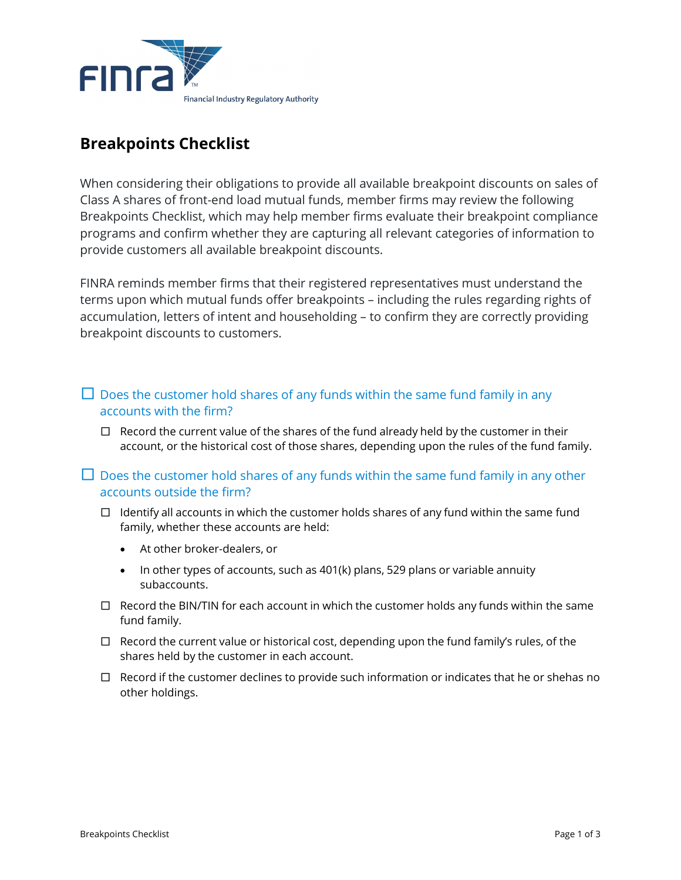

## **Breakpoints Checklist**

When considering their obligations to provide all available breakpoint discounts on sales of Class A shares of front-end load mutual funds, member firms may review the following Breakpoints Checklist, which may help member firms evaluate their breakpoint compliance programs and confirm whether they are capturing all relevant categories of information to provide customers all available breakpoint discounts.

FINRA reminds member firms that their registered representatives must understand the terms upon which mutual funds offer breakpoints – including the rules regarding rights of accumulation, letters of intent and householding – to confirm they are correctly providing breakpoint discounts to customers.

- $\Box$  Does the customer hold shares of any funds within the same fund family in any accounts with the firm?
	- $\square$  Record the current value of the shares of the fund already held by the customer in their account, or the historical cost of those shares, depending upon the rules of the fund family.
- $\Box$  Does the customer hold shares of any funds within the same fund family in any other accounts outside the firm?
	- $\Box$  Identify all accounts in which the customer holds shares of any fund within the same fund family, whether these accounts are held:
		- At other broker-dealers, or
		- In other types of accounts, such as 401(k) plans, 529 plans or variable annuity subaccounts.
	- $\Box$  Record the BIN/TIN for each account in which the customer holds any funds within the same fund family.
	- □ Record the current value or historical cost, depending upon the fund family's rules, of the shares held by the customer in each account.
	- $\square$  Record if the customer declines to provide such information or indicates that he or shehas no other holdings.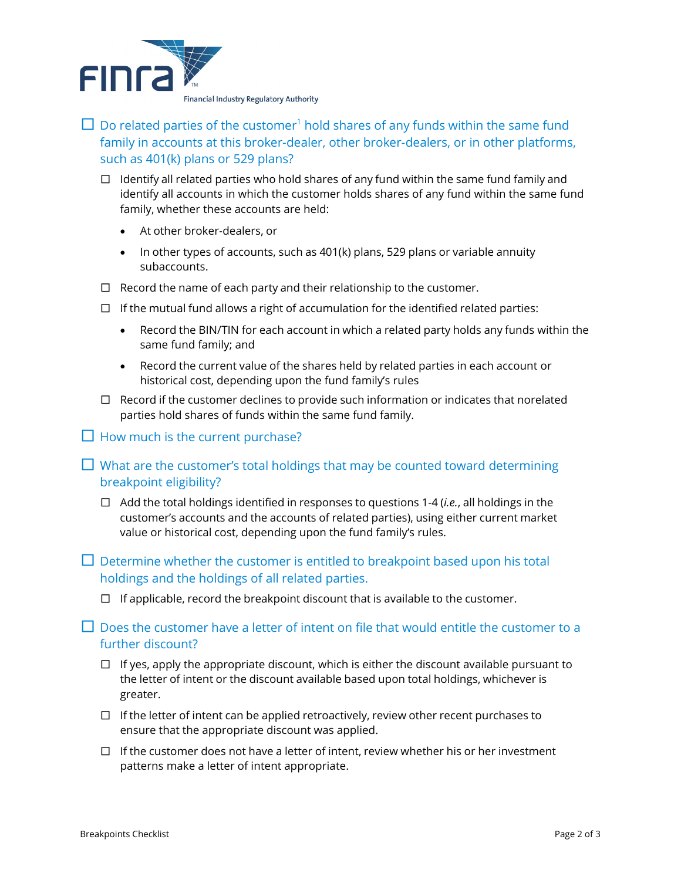

 $\Box$  Do related parties of the customer<sup>1</sup> hold shares of any funds within the same fund family in accounts at this broker-dealer, other broker-dealers, or in other platforms, such as 401(k) plans or 529 plans?

- $\Box$  Identify all related parties who hold shares of any fund within the same fund family and identify all accounts in which the customer holds shares of any fund within the same fund family, whether these accounts are held:
	- At other broker-dealers, or
	- In other types of accounts, such as 401(k) plans, 529 plans or variable annuity subaccounts.
- $\Box$  Record the name of each party and their relationship to the customer.
- $\Box$  If the mutual fund allows a right of accumulation for the identified related parties:
	- Record the BIN/TIN for each account in which a related party holds any funds within the same fund family; and
	- Record the current value of the shares held by related parties in each account or historical cost, depending upon the fund family's rules
- $\square$  Record if the customer declines to provide such information or indicates that norelated parties hold shares of funds within the same fund family.

 $\Box$  How much is the current purchase?

- $\Box$  What are the customer's total holdings that may be counted toward determining breakpoint eligibility?
	- □ Add the total holdings identified in responses to questions 1-4 (*i.e.*, all holdings in the customer's accounts and the accounts of related parties), using either current market value or historical cost, depending upon the fund family's rules.
- $\Box$  Determine whether the customer is entitled to breakpoint based upon his total holdings and the holdings of all related parties.
	- $\Box$  If applicable, record the breakpoint discount that is available to the customer.

 $\Box$  Does the customer have a letter of intent on file that would entitle the customer to a further discount?

- $\Box$  If yes, apply the appropriate discount, which is either the discount available pursuant to the letter of intent or the discount available based upon total holdings, whichever is greater.
- $\square$  If the letter of intent can be applied retroactively, review other recent purchases to ensure that the appropriate discount was applied.
- $\square$  If the customer does not have a letter of intent, review whether his or her investment patterns make a letter of intent appropriate.